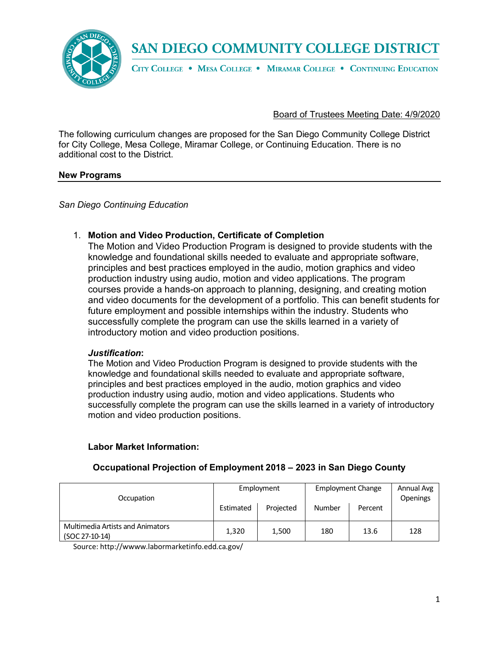

### **SAN DIEGO COMMUNITY COLLEGE DISTRICT**

CITY COLLEGE . MESA COLLEGE . MIRAMAR COLLEGE . CONTINUING EDUCATION

### Board of Trustees Meeting Date: 4/9/2020

The following curriculum changes are proposed for the San Diego Community College District for City College, Mesa College, Miramar College, or Continuing Education. There is no additional cost to the District.

### **New Programs**

*San Diego Continuing Education*

### 1. **Motion and Video Production, Certificate of Completion**

The Motion and Video Production Program is designed to provide students with the knowledge and foundational skills needed to evaluate and appropriate software, principles and best practices employed in the audio, motion graphics and video production industry using audio, motion and video applications. The program courses provide a hands-on approach to planning, designing, and creating motion and video documents for the development of a portfolio. This can benefit students for future employment and possible internships within the industry. Students who successfully complete the program can use the skills learned in a variety of introductory motion and video production positions.

#### *Justification***:**

The Motion and Video Production Program is designed to provide students with the knowledge and foundational skills needed to evaluate and appropriate software, principles and best practices employed in the audio, motion graphics and video production industry using audio, motion and video applications. Students who successfully complete the program can use the skills learned in a variety of introductory motion and video production positions.

### **Labor Market Information:**

| Occupation                              | Employment |           | <b>Employment Change</b> |         | Annual Avg<br><b>Openings</b> |
|-----------------------------------------|------------|-----------|--------------------------|---------|-------------------------------|
|                                         | Estimated  | Projected | Number                   | Percent |                               |
| <b>Multimedia Artists and Animators</b> |            |           |                          |         |                               |
| $(SOC 27-10-14)$                        | 1,320      | 1,500     | 180                      | 13.6    | 128                           |

### **Occupational Projection of Employment 2018 – 2023 in San Diego County**

Source: http://wwww.labormarketinfo.edd.ca.gov/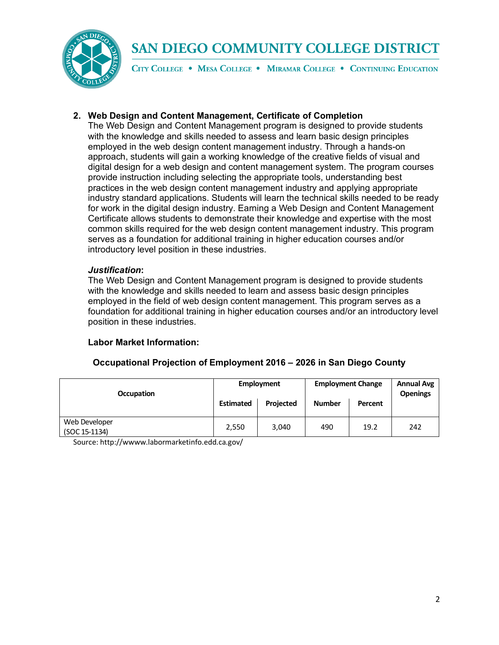

# **SAN DIEGO COMMUNITY COLLEGE DISTRICT**

CITY COLLEGE . MESA COLLEGE . MIRAMAR COLLEGE . CONTINUING EDUCATION

### **2. Web Design and Content Management, Certificate of Completion**

The Web Design and Content Management program is designed to provide students with the knowledge and skills needed to assess and learn basic design principles employed in the web design content management industry. Through a hands-on approach, students will gain a working knowledge of the creative fields of visual and digital design for a web design and content management system. The program courses provide instruction including selecting the appropriate tools, understanding best practices in the web design content management industry and applying appropriate industry standard applications. Students will learn the technical skills needed to be ready for work in the digital design industry. Earning a Web Design and Content Management Certificate allows students to demonstrate their knowledge and expertise with the most common skills required for the web design content management industry. This program serves as a foundation for additional training in higher education courses and/or introductory level position in these industries.

### *Justification***:**

The Web Design and Content Management program is designed to provide students with the knowledge and skills needed to learn and assess basic design principles employed in the field of web design content management. This program serves as a foundation for additional training in higher education courses and/or an introductory level position in these industries.

### **Labor Market Information:**

| <b>Occupation</b>              | <b>Employment</b> |           | <b>Employment Change</b> |         | <b>Annual Avg</b><br><b>Openings</b> |
|--------------------------------|-------------------|-----------|--------------------------|---------|--------------------------------------|
|                                | <b>Estimated</b>  | Projected | <b>Number</b>            | Percent |                                      |
| Web Developer<br>(SOC 15-1134) | 2,550             | 3.040     | 490                      | 19.2    | 242                                  |

### **Occupational Projection of Employment 2016 – 2026 in San Diego County**

Source: http://wwww.labormarketinfo.edd.ca.gov/